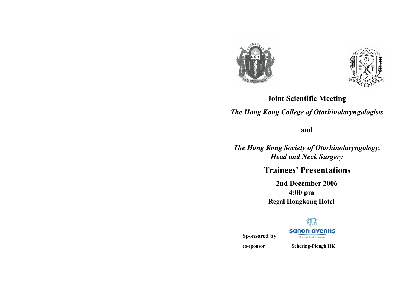



# **Joint Scientific Meeting**

*The Hong Kong College of Otorhinolaryngologists* 

**and** 

*The Hong Kong Society of Otorhinolaryngology, Head and Neck Surgery* 

**Trainees' Presentations** 

**2nd December 2006 4:00 pm Regal Hongkong Hotel** 



**Sponsored by** 

**co-sponsor Schering-Plough HK**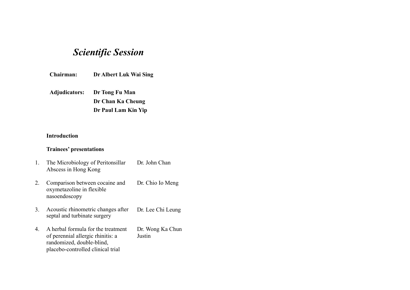# *Scientific Session*

**Chairman: Dr Albert Luk Wai Sing** 

**Adjudicators: Dr Tong Fu Man Dr Chan Ka Cheung** 

 **Dr Paul Lam Kin Yip** 

## **Introduction**

## **Trainees' presentations**

- 1. The Microbiology of Peritonsillar Abscess in Hong Kong Dr. John Chan
- 2. Comparison between cocaine and oxymetazoline in flexible nasoendoscopy Dr. Chio Io Meng
- 3. Acoustic rhinometric changes after septal and turbinate surgery Dr. Lee Chi Leung
- 4. A herbal formula for the treatment of perennial allergic rhinitis: a randomized, double-blind, placebo-controlled clinical trial Dr. Wong Ka Chun Justin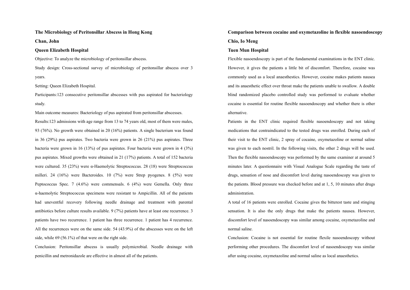#### **The Microbiology of Peritonsillar Abscess in Hong Kong**

**Chan, John** 

#### **Queen Elizabeth Hospital**

Objective: To analyze the microbiology of peritonsillar abscess.

Study design: Cross-sectional survey of microbiology of peritonsillar abscess over 3 years.

Setting: Queen Elizabeth Hospital.

Participants:123 consecutive peritonsillar abscesses with pus aspirated for bacteriology study.

Main outcome measures: Bacteriology of pus aspirated from peritonsillar abscesses. Results:123 admissions with age range from 13 to 74 years old, most of them were males, 93 (76%). No growth were obtained in 20 (16%) patients. A single bacterium was found in 36 (29%) pus aspirates. Two bacteria were grown in 26 (21%) pus aspirates. Three bacteria were grown in 16 (13%) of pus aspirates. Four bacteria were grown in 4 (3%) pus aspirates. Mixed growths were obtained in 21 (17%) patients. A total of 152 bacteria were cultured. 35 (23%) were  $\alpha$ -Haemolytic Streptococcus. 28 (18) were Streptococcus milleri. 24 (16%) were Bacteroides. 10 (7%) were Strep pyogenes. 8 (5%) were Peptococcus Spec. 7 (4.6%) were commensals. 6 (4%) were Gemella. Only three <sup>α</sup>-haemolytic Streptococcus specimens were resistant to Ampicillin. All of the patients had uneventful recovery following needle drainage and treatment with parental antibiotics before culture results available. 9 (7%) patients have at least one recurrence. 3 patients have two recurrence. 1 patient has three recurrence. 1 patient has 4 recurrence. All the recurrences were on the same side. 54 (43.9%) of the abscesses were on the left side, while 69 (56.1%) of that were on the right side.

Conclusion: Peritonsillar abscess is usually polymicrobial. Needle drainage with penicillin and metronidazole are effective in almost all of the patients.

## **Comparison between cocaine and oxymetazoline in flexible nasoendoscopy Chio, Io Meng**

#### **Tuen Mun Hospital**

Flexible nasoendoscopy is part of the fundamental examinations in the ENT clinic. However, it gives the patients a little bit of discomfort. Therefore, cocaine was commonly used as a local anaesthestics. However, cocaine makes patients nausea and its anaesthetic effect over throat make the patients unable to swallow. A double blind randomized placebo controlled study was performed to evaluate whether cocaine is essential for routine flexible nasoendoscopy and whether there is other alternative.

Patients in the ENT clinic required flexible nasoendoscopy and not taking medications that contraindicated to the tested drugs was enrolled. During each of their visit to the ENT clinic, 2 spray of cocaine, oxymetazoline or normal saline was given to each nostril. In the following visits, the other 2 drugs will be used. Then the flexible nasoendoscopy was performed by the same examiner at around 5 minutes later. A questionnaire with Visual Analogue Scale regarding the taste of drugs, sensation of nose and discomfort level during nasoendoscopy was given to the patients. Blood pressure was checked before and at 1, 5, 10 minutes after drugs administration.

A total of 16 patients were enrolled. Cocaine gives the bitterest taste and stinging sensation. It is also the only drugs that make the patients nausea. However, discomfort level of nasoendoscopy was similar among cocaine, oxymetazoline and normal saline.

Conclusion: Cocaine is not essential for routine flexile nasoendoscopy without performing other procedures. The discomfort level of nasoendoscopy was similar after using cocaine, oxymetazoline and normal saline as local anaesthetics.